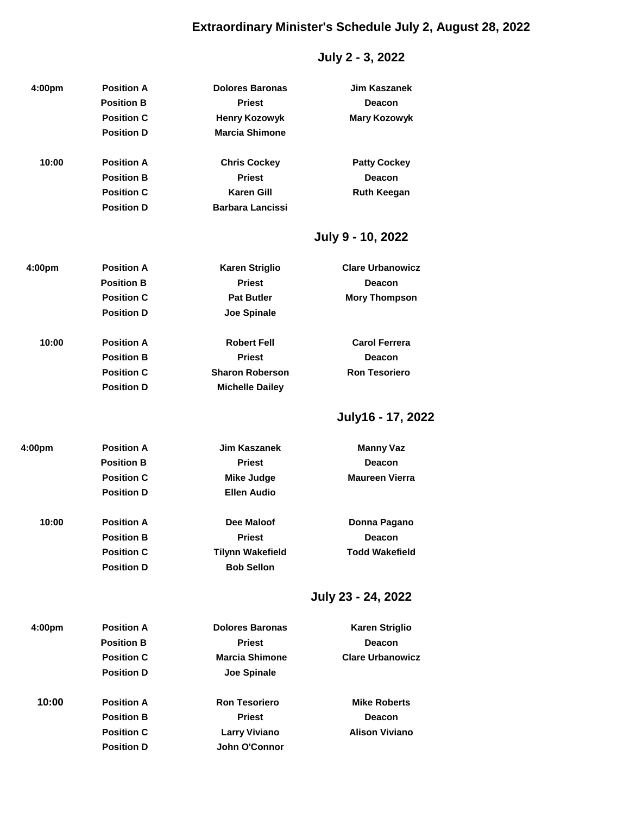# **Extraordinary Minister's Schedule July 2, August 28, 2022**

# **July 2 - 3, 2022**

| 4:00pm | <b>Position A</b> | <b>Dolores Baronas</b>  | <b>Jim Kaszanek</b>     |
|--------|-------------------|-------------------------|-------------------------|
|        | <b>Position B</b> | <b>Priest</b>           | <b>Deacon</b>           |
|        | <b>Position C</b> | <b>Henry Kozowyk</b>    | <b>Mary Kozowyk</b>     |
|        | <b>Position D</b> | <b>Marcia Shimone</b>   |                         |
|        |                   |                         |                         |
| 10:00  | <b>Position A</b> | <b>Chris Cockey</b>     | <b>Patty Cockey</b>     |
|        | <b>Position B</b> | <b>Priest</b>           | <b>Deacon</b>           |
|        | <b>Position C</b> | <b>Karen Gill</b>       | <b>Ruth Keegan</b>      |
|        | <b>Position D</b> | <b>Barbara Lancissi</b> |                         |
|        |                   |                         | July 9 - 10, 2022       |
| 4:00pm | <b>Position A</b> | <b>Karen Striglio</b>   | <b>Clare Urbanowicz</b> |
|        | <b>Position B</b> | <b>Priest</b>           | <b>Deacon</b>           |
|        | <b>Position C</b> | <b>Pat Butler</b>       | <b>Mory Thompson</b>    |
|        | <b>Position D</b> | <b>Joe Spinale</b>      |                         |
|        |                   |                         |                         |
| 10:00  | <b>Position A</b> | <b>Robert Fell</b>      | <b>Carol Ferrera</b>    |
|        | <b>Position B</b> | <b>Priest</b>           | <b>Deacon</b>           |
|        | <b>Position C</b> | <b>Sharon Roberson</b>  | <b>Ron Tesoriero</b>    |
|        | <b>Position D</b> | <b>Michelle Dailey</b>  |                         |
|        |                   |                         | July16 - 17, 2022       |
|        |                   |                         |                         |
| 4:00pm | <b>Position A</b> | <b>Jim Kaszanek</b>     | <b>Manny Vaz</b>        |
|        | <b>Position B</b> | <b>Priest</b>           | Deacon                  |
|        | <b>Position C</b> | <b>Mike Judge</b>       | <b>Maureen Vierra</b>   |
|        | <b>Position D</b> | <b>Ellen Audio</b>      |                         |
| 10:00  | <b>Position A</b> | <b>Dee Maloof</b>       | Donna Pagano            |
|        | <b>Position B</b> | <b>Priest</b>           | <b>Deacon</b>           |
|        | <b>Position C</b> | <b>Tilynn Wakefield</b> | <b>Todd Wakefield</b>   |
|        | <b>Position D</b> | <b>Bob Sellon</b>       |                         |
|        |                   |                         |                         |
|        |                   |                         | July 23 - 24, 2022      |
| 4:00pm | <b>Position A</b> | <b>Dolores Baronas</b>  | <b>Karen Striglio</b>   |
|        | <b>Position B</b> | <b>Priest</b>           | <b>Deacon</b>           |
|        | <b>Position C</b> | <b>Marcia Shimone</b>   | <b>Clare Urbanowicz</b> |
|        | <b>Position D</b> | <b>Joe Spinale</b>      |                         |
| 10:00  | <b>Position A</b> | <b>Ron Tesoriero</b>    | <b>Mike Roberts</b>     |
|        | <b>Position B</b> | <b>Priest</b>           | <b>Deacon</b>           |
|        | <b>Position C</b> | <b>Larry Viviano</b>    | <b>Alison Viviano</b>   |
|        | <b>Position D</b> | John O'Connor           |                         |
|        |                   |                         |                         |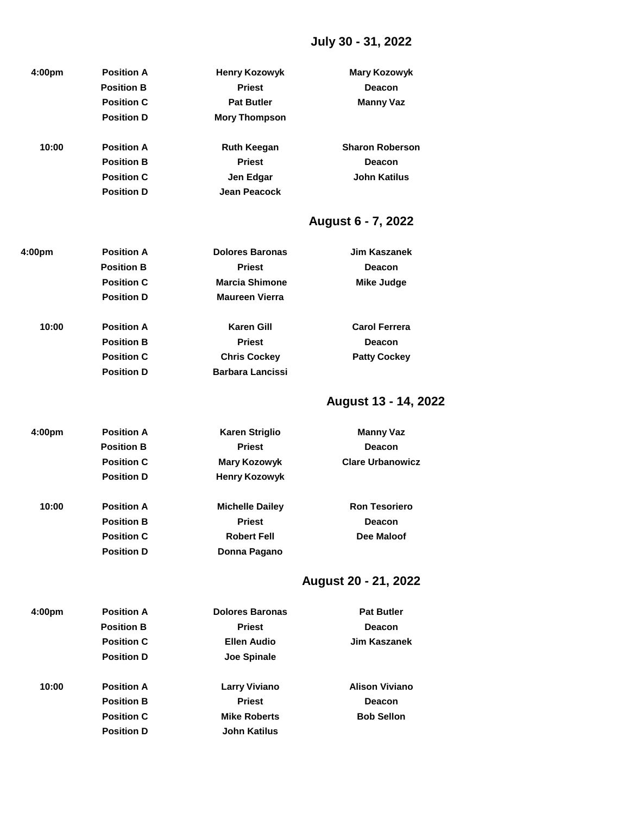# **July 30 - 31, 2022**

| 4:00 <sub>pm</sub> | <b>Position A</b> | <b>Henry Kozowyk</b> | Mary Kozowyk           |
|--------------------|-------------------|----------------------|------------------------|
|                    | <b>Position B</b> | <b>Priest</b>        | <b>Deacon</b>          |
|                    | <b>Position C</b> | <b>Pat Butler</b>    | <b>Manny Vaz</b>       |
|                    | <b>Position D</b> | <b>Mory Thompson</b> |                        |
| 10:00              | <b>Position A</b> | <b>Ruth Keegan</b>   | <b>Sharon Roberson</b> |
|                    | <b>Position B</b> | <b>Priest</b>        | Deacon                 |
|                    | <b>Position C</b> | Jen Edgar            | <b>John Katilus</b>    |
|                    | <b>Position D</b> | Jean Peacock         |                        |

# **August 6 - 7, 2022**

| 4:00pm | <b>Position A</b> | <b>Dolores Baronas</b>  | Jim Kaszanek         |
|--------|-------------------|-------------------------|----------------------|
|        | <b>Position B</b> | <b>Priest</b>           | <b>Deacon</b>        |
|        | <b>Position C</b> | <b>Marcia Shimone</b>   | Mike Judge           |
|        | <b>Position D</b> | <b>Maureen Vierra</b>   |                      |
| 10:00  | <b>Position A</b> | <b>Karen Gill</b>       | <b>Carol Ferrera</b> |
|        | <b>Position B</b> | <b>Priest</b>           | <b>Deacon</b>        |
|        | <b>Position C</b> | <b>Chris Cockey</b>     | <b>Patty Cockey</b>  |
|        | <b>Position D</b> | <b>Barbara Lancissi</b> |                      |
|        |                   |                         |                      |

# **August 13 - 14, 2022**

| 4:00 <sub>pm</sub> | <b>Position A</b> | <b>Karen Striglio</b>  | <b>Manny Vaz</b>        |
|--------------------|-------------------|------------------------|-------------------------|
|                    | <b>Position B</b> | <b>Priest</b>          | <b>Deacon</b>           |
|                    | <b>Position C</b> | <b>Mary Kozowyk</b>    | <b>Clare Urbanowicz</b> |
|                    | <b>Position D</b> | <b>Henry Kozowyk</b>   |                         |
| 10:00              | <b>Position A</b> | <b>Michelle Dailey</b> | <b>Ron Tesoriero</b>    |
|                    | <b>Position B</b> | <b>Priest</b>          | <b>Deacon</b>           |
|                    | <b>Position C</b> | <b>Robert Fell</b>     | Dee Maloof              |
|                    | <b>Position D</b> | Donna Pagano           |                         |

# **August 20 - 21, 2022**

| 4:00 <sub>pm</sub> | <b>Position A</b> | <b>Dolores Baronas</b> | <b>Pat Butler</b>     |
|--------------------|-------------------|------------------------|-----------------------|
|                    | <b>Position B</b> | <b>Priest</b>          | Deacon                |
|                    | <b>Position C</b> | Ellen Audio            | Jim Kaszanek          |
|                    | <b>Position D</b> | Joe Spinale            |                       |
| 10:00              | <b>Position A</b> | <b>Larry Viviano</b>   | <b>Alison Viviano</b> |
|                    | <b>Position B</b> | <b>Priest</b>          | Deacon                |
|                    | <b>Position C</b> | <b>Mike Roberts</b>    | <b>Bob Sellon</b>     |
|                    | <b>Position D</b> | <b>John Katilus</b>    |                       |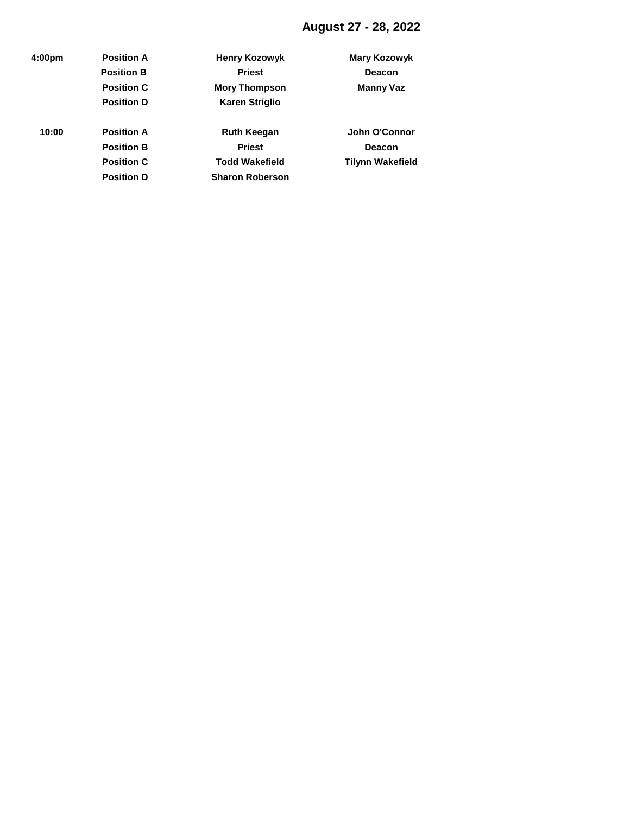# **August 27 - 28, 2022**

| 4:00pm | <b>Position A</b> | <b>Henry Kozowyk</b>   | <b>Mary Kozowyk</b>     |
|--------|-------------------|------------------------|-------------------------|
|        | <b>Position B</b> | <b>Priest</b>          | <b>Deacon</b>           |
|        | <b>Position C</b> | <b>Mory Thompson</b>   | <b>Manny Vaz</b>        |
|        | <b>Position D</b> | <b>Karen Striglio</b>  |                         |
| 10:00  | <b>Position A</b> | <b>Ruth Keegan</b>     | John O'Connor           |
|        | <b>Position B</b> | <b>Priest</b>          | <b>Deacon</b>           |
|        | <b>Position C</b> | <b>Todd Wakefield</b>  | <b>Tilynn Wakefield</b> |
|        | <b>Position D</b> | <b>Sharon Roberson</b> |                         |
|        |                   |                        |                         |